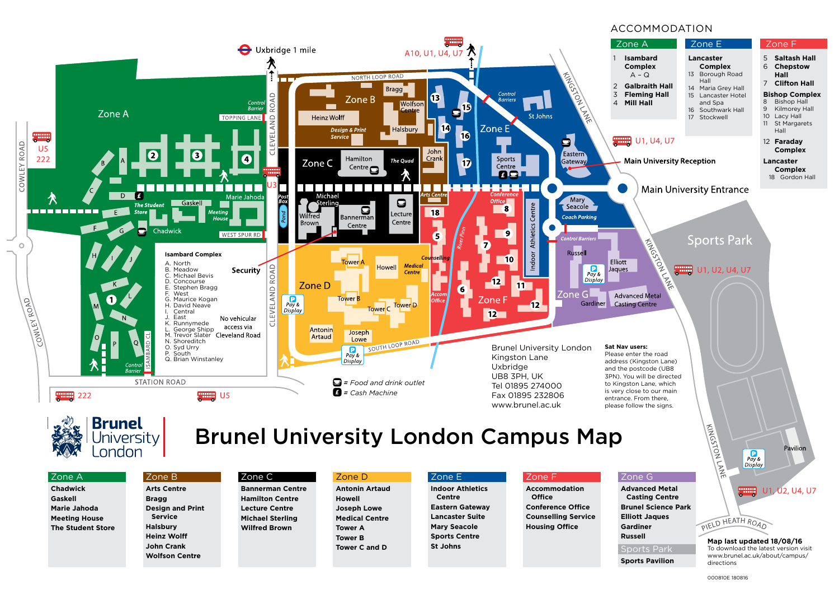



# Brunel University London Campus Map

### Zone A

**Chadwick Gaskell Marie Jahoda Meeting House The Student Store**

### Zone B

**Arts Centre Bragg**

**Service Halsbury Heinz Wolff John Crank**

**Design and Print Wolfson Centre** Zone C **Bannerman Centre Hamilton Centre Lecture Centre Michael Sterling Wilfred Brown**

### Zone D

**Antonin Artaud Howell Joseph Lowe Medical Centre Tower A Tower B Tower C and D**

### Zone E

**Indoor Athletics Centre Eastern Gateway Lancaster Suite Mary Seacole Sports Centre St Johns**

### Zone F

**Accommodation Office Conference Office Counselling Service Housing Office**

# Zone G

**Advanced Metal Casting Centre Brunel Science Park Elliott Jaques Gardiner Russell** Sports Parl

**Sports Pavilion**

#### U1, U2, U4, U7 annan

Pavilion

PIELD HEATH ROAD **Map last updated 18/08/16**

To download the latest version visit www.brunel.ac.uk/about/campus/ directions

 $Pay &$ <br>Display